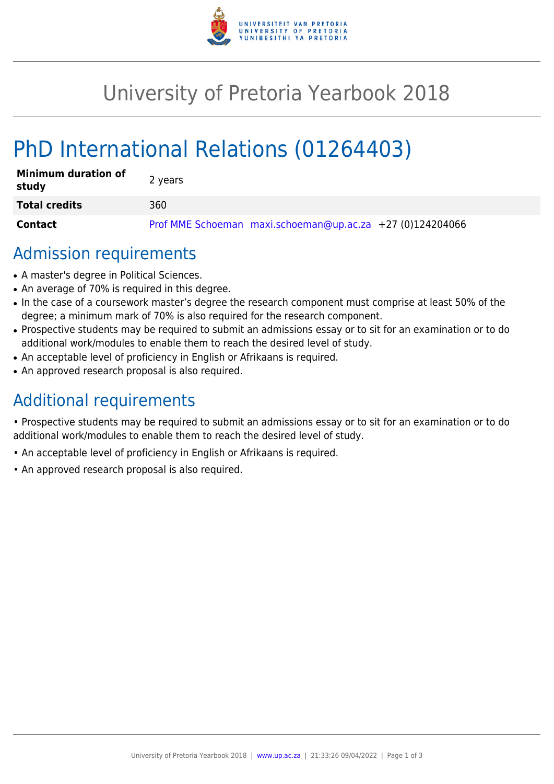

# University of Pretoria Yearbook 2018

# PhD International Relations (01264403)

| <b>Minimum duration of</b><br>study | 2 years                                                   |
|-------------------------------------|-----------------------------------------------------------|
| <b>Total credits</b>                | 360                                                       |
| <b>Contact</b>                      | Prof MME Schoeman maxi.schoeman@up.ac.za +27 (0)124204066 |

### Admission requirements

- A master's degree in Political Sciences.
- An average of 70% is required in this degree.
- In the case of a coursework master's degree the research component must comprise at least 50% of the degree; a minimum mark of 70% is also required for the research component.
- Prospective students may be required to submit an admissions essay or to sit for an examination or to do additional work/modules to enable them to reach the desired level of study.
- An acceptable level of proficiency in English or Afrikaans is required.
- An approved research proposal is also required.

## Additional requirements

• Prospective students may be required to submit an admissions essay or to sit for an examination or to do additional work/modules to enable them to reach the desired level of study.

- An acceptable level of proficiency in English or Afrikaans is required.
- An approved research proposal is also required.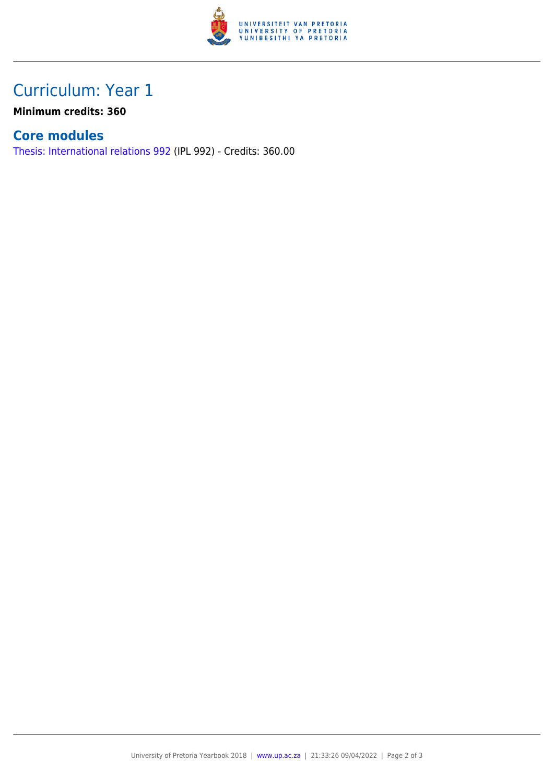

## Curriculum: Year 1

**Minimum credits: 360**

#### **Core modules**

[Thesis: International relations 992](https://www.up.ac.za/faculty-of-education/yearbooks/2018/modules/view/IPL 992) (IPL 992) - Credits: 360.00